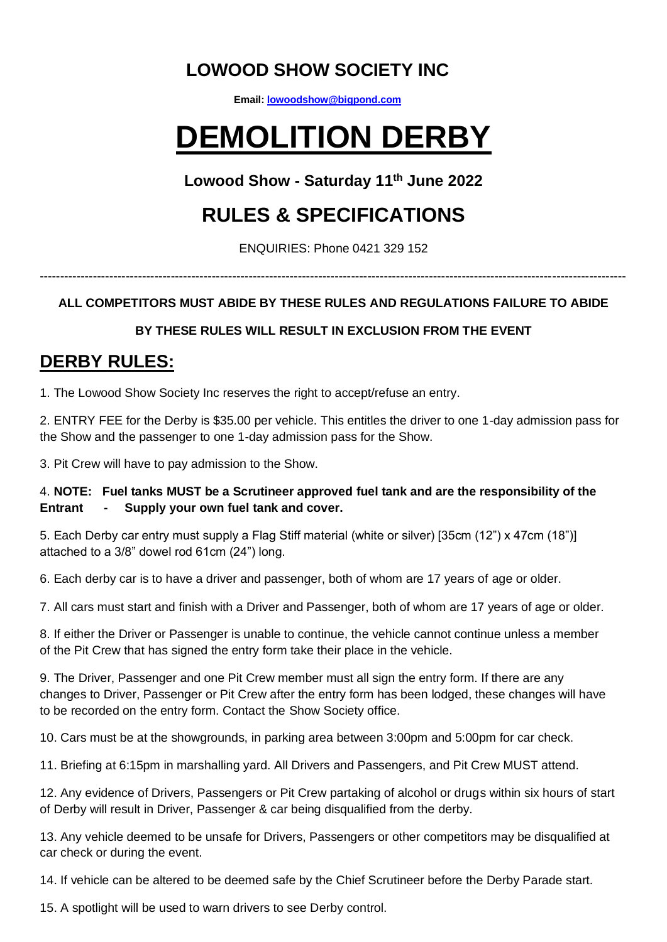## **LOWOOD SHOW SOCIETY INC**

**Email[: lowoodshow@bigpond.com](mailto:lowoodshow@bigpond.com)**

# **DEMOLITION DERBY**

**Lowood Show - Saturday 11 th June 2022**

## **RULES & SPECIFICATIONS**

ENQUIRIES: Phone 0421 329 152

-----------------------------------------------------------------------------------------------------------------------------------------------

### **ALL COMPETITORS MUST ABIDE BY THESE RULES AND REGULATIONS FAILURE TO ABIDE**

### **BY THESE RULES WILL RESULT IN EXCLUSION FROM THE EVENT**

## **DERBY RULES:**

1. The Lowood Show Society Inc reserves the right to accept/refuse an entry.

2. ENTRY FEE for the Derby is \$35.00 per vehicle. This entitles the driver to one 1-day admission pass for the Show and the passenger to one 1-day admission pass for the Show.

3. Pit Crew will have to pay admission to the Show.

### 4. **NOTE: Fuel tanks MUST be a Scrutineer approved fuel tank and are the responsibility of the Entrant - Supply your own fuel tank and cover.**

5. Each Derby car entry must supply a Flag Stiff material (white or silver) [35cm (12") x 47cm (18")] attached to a 3/8" dowel rod 61cm (24") long.

6. Each derby car is to have a driver and passenger, both of whom are 17 years of age or older.

7. All cars must start and finish with a Driver and Passenger, both of whom are 17 years of age or older.

8. If either the Driver or Passenger is unable to continue, the vehicle cannot continue unless a member of the Pit Crew that has signed the entry form take their place in the vehicle.

9. The Driver, Passenger and one Pit Crew member must all sign the entry form. If there are any changes to Driver, Passenger or Pit Crew after the entry form has been lodged, these changes will have to be recorded on the entry form. Contact the Show Society office.

10. Cars must be at the showgrounds, in parking area between 3:00pm and 5:00pm for car check.

11. Briefing at 6:15pm in marshalling yard. All Drivers and Passengers, and Pit Crew MUST attend.

12. Any evidence of Drivers, Passengers or Pit Crew partaking of alcohol or drugs within six hours of start of Derby will result in Driver, Passenger & car being disqualified from the derby.

13. Any vehicle deemed to be unsafe for Drivers, Passengers or other competitors may be disqualified at car check or during the event.

14. If vehicle can be altered to be deemed safe by the Chief Scrutineer before the Derby Parade start.

15. A spotlight will be used to warn drivers to see Derby control.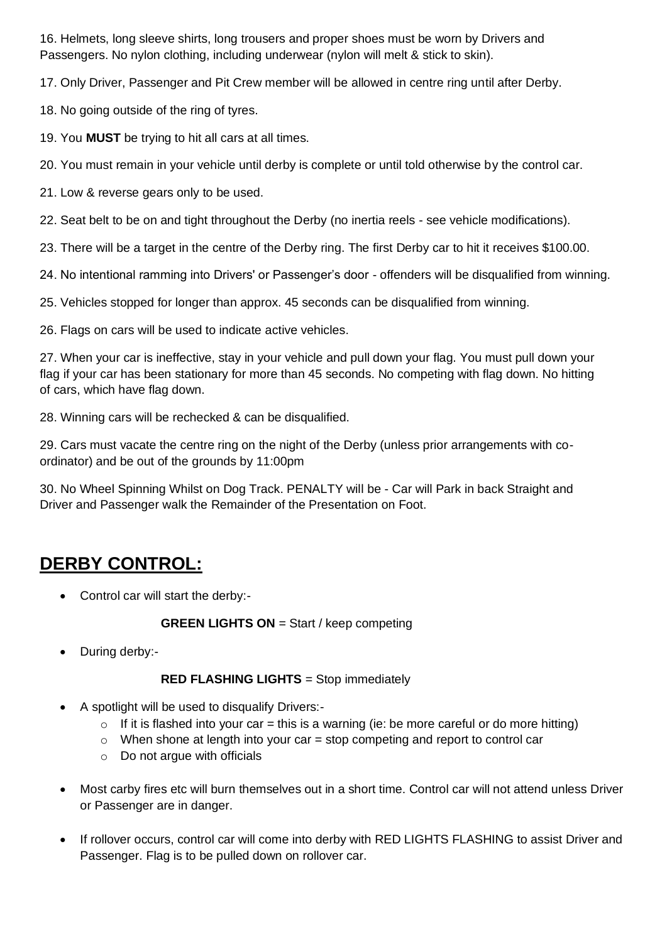16. Helmets, long sleeve shirts, long trousers and proper shoes must be worn by Drivers and Passengers. No nylon clothing, including underwear (nylon will melt & stick to skin).

17. Only Driver, Passenger and Pit Crew member will be allowed in centre ring until after Derby.

18. No going outside of the ring of tyres.

19. You **MUST** be trying to hit all cars at all times.

20. You must remain in your vehicle until derby is complete or until told otherwise by the control car.

21. Low & reverse gears only to be used.

22. Seat belt to be on and tight throughout the Derby (no inertia reels - see vehicle modifications).

23. There will be a target in the centre of the Derby ring. The first Derby car to hit it receives \$100.00.

24. No intentional ramming into Drivers' or Passenger's door - offenders will be disqualified from winning.

25. Vehicles stopped for longer than approx. 45 seconds can be disqualified from winning.

26. Flags on cars will be used to indicate active vehicles.

27. When your car is ineffective, stay in your vehicle and pull down your flag. You must pull down your flag if your car has been stationary for more than 45 seconds. No competing with flag down. No hitting of cars, which have flag down.

28. Winning cars will be rechecked & can be disqualified.

29. Cars must vacate the centre ring on the night of the Derby (unless prior arrangements with coordinator) and be out of the grounds by 11:00pm

30. No Wheel Spinning Whilst on Dog Track. PENALTY will be - Car will Park in back Straight and Driver and Passenger walk the Remainder of the Presentation on Foot.

## **DERBY CONTROL:**

• Control car will start the derby:-

### **GREEN LIGHTS ON** = Start / keep competing

• During derby:-

### **RED FLASHING LIGHTS** = Stop immediately

- A spotlight will be used to disqualify Drivers:-
	- $\circ$  If it is flashed into your car = this is a warning (ie: be more careful or do more hitting)
	- $\circ$  When shone at length into your car = stop competing and report to control car
	- o Do not argue with officials
- Most carby fires etc will burn themselves out in a short time. Control car will not attend unless Driver or Passenger are in danger.
- If rollover occurs, control car will come into derby with RED LIGHTS FLASHING to assist Driver and Passenger. Flag is to be pulled down on rollover car.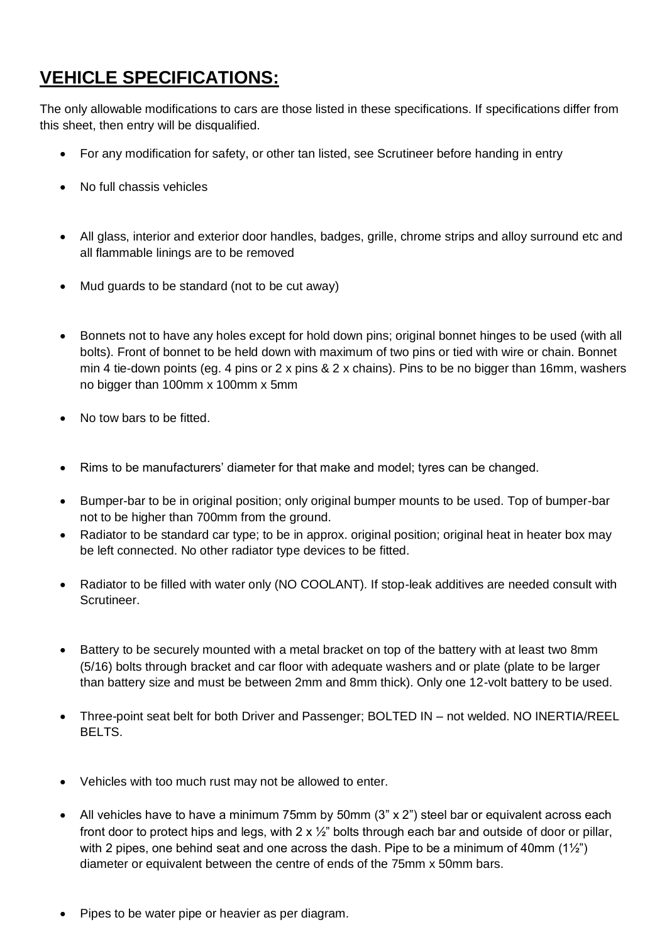## **VEHICLE SPECIFICATIONS:**

The only allowable modifications to cars are those listed in these specifications. If specifications differ from this sheet, then entry will be disqualified.

- For any modification for safety, or other tan listed, see Scrutineer before handing in entry
- No full chassis vehicles
- All glass, interior and exterior door handles, badges, grille, chrome strips and alloy surround etc and all flammable linings are to be removed
- Mud guards to be standard (not to be cut away)
- Bonnets not to have any holes except for hold down pins; original bonnet hinges to be used (with all bolts). Front of bonnet to be held down with maximum of two pins or tied with wire or chain. Bonnet min 4 tie-down points (eg. 4 pins or 2 x pins  $& 2 \times$  chains). Pins to be no bigger than 16mm, washers no bigger than 100mm x 100mm x 5mm
- No tow bars to be fitted.
- Rims to be manufacturers' diameter for that make and model; tyres can be changed.
- Bumper-bar to be in original position; only original bumper mounts to be used. Top of bumper-bar not to be higher than 700mm from the ground.
- Radiator to be standard car type; to be in approx. original position; original heat in heater box may be left connected. No other radiator type devices to be fitted.
- Radiator to be filled with water only (NO COOLANT). If stop-leak additives are needed consult with Scrutineer.
- Battery to be securely mounted with a metal bracket on top of the battery with at least two 8mm (5/16) bolts through bracket and car floor with adequate washers and or plate (plate to be larger than battery size and must be between 2mm and 8mm thick). Only one 12-volt battery to be used.
- Three-point seat belt for both Driver and Passenger; BOLTED IN not welded. NO INERTIA/REEL BELTS.
- Vehicles with too much rust may not be allowed to enter.
- All vehicles have to have a minimum 75mm by 50mm (3" x 2") steel bar or equivalent across each front door to protect hips and legs, with 2 x  $\frac{1}{2}$ " bolts through each bar and outside of door or pillar, with 2 pipes, one behind seat and one across the dash. Pipe to be a minimum of 40mm  $(1/2)$ diameter or equivalent between the centre of ends of the 75mm x 50mm bars.
- Pipes to be water pipe or heavier as per diagram.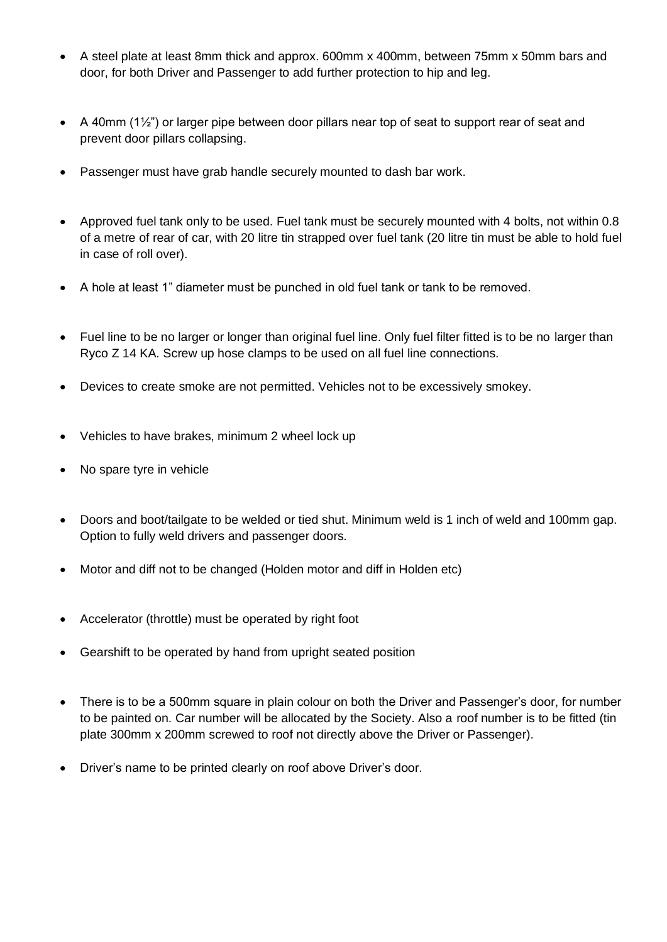- A steel plate at least 8mm thick and approx. 600mm x 400mm, between 75mm x 50mm bars and door, for both Driver and Passenger to add further protection to hip and leg.
- A 40mm (1½") or larger pipe between door pillars near top of seat to support rear of seat and prevent door pillars collapsing.
- Passenger must have grab handle securely mounted to dash bar work.
- Approved fuel tank only to be used. Fuel tank must be securely mounted with 4 bolts, not within 0.8 of a metre of rear of car, with 20 litre tin strapped over fuel tank (20 litre tin must be able to hold fuel in case of roll over).
- A hole at least 1" diameter must be punched in old fuel tank or tank to be removed.
- Fuel line to be no larger or longer than original fuel line. Only fuel filter fitted is to be no larger than Ryco Z 14 KA. Screw up hose clamps to be used on all fuel line connections.
- Devices to create smoke are not permitted. Vehicles not to be excessively smokey.
- Vehicles to have brakes, minimum 2 wheel lock up
- No spare tyre in vehicle
- Doors and boot/tailgate to be welded or tied shut. Minimum weld is 1 inch of weld and 100mm gap. Option to fully weld drivers and passenger doors.
- Motor and diff not to be changed (Holden motor and diff in Holden etc)
- Accelerator (throttle) must be operated by right foot
- Gearshift to be operated by hand from upright seated position
- There is to be a 500mm square in plain colour on both the Driver and Passenger's door, for number to be painted on. Car number will be allocated by the Society. Also a roof number is to be fitted (tin plate 300mm x 200mm screwed to roof not directly above the Driver or Passenger).
- Driver's name to be printed clearly on roof above Driver's door.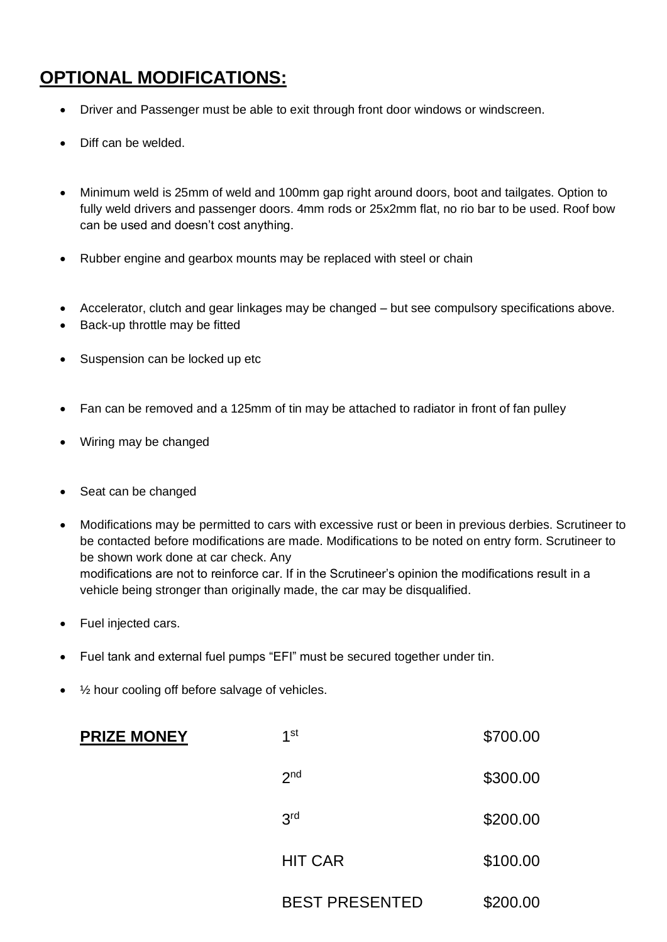## **OPTIONAL MODIFICATIONS:**

- Driver and Passenger must be able to exit through front door windows or windscreen.
- Diff can be welded.
- Minimum weld is 25mm of weld and 100mm gap right around doors, boot and tailgates. Option to fully weld drivers and passenger doors. 4mm rods or 25x2mm flat, no rio bar to be used. Roof bow can be used and doesn't cost anything.
- Rubber engine and gearbox mounts may be replaced with steel or chain
- Accelerator, clutch and gear linkages may be changed but see compulsory specifications above.
- Back-up throttle may be fitted
- Suspension can be locked up etc
- Fan can be removed and a 125mm of tin may be attached to radiator in front of fan pulley
- Wiring may be changed
- Seat can be changed
- Modifications may be permitted to cars with excessive rust or been in previous derbies. Scrutineer to be contacted before modifications are made. Modifications to be noted on entry form. Scrutineer to be shown work done at car check. Any modifications are not to reinforce car. If in the Scrutineer's opinion the modifications result in a vehicle being stronger than originally made, the car may be disqualified.
- Fuel injected cars.

**PRIZE MONEY** 

- Fuel tank and external fuel pumps "EFI" must be secured together under tin.
- 1/<sub>2</sub> hour cooling off before salvage of vehicles.

| 1 <sup>st</sup>       | \$700.00 |
|-----------------------|----------|
| 2 <sub>nd</sub>       | \$300.00 |
| 3 <sup>rd</sup>       | \$200.00 |
| <b>HIT CAR</b>        | \$100.00 |
| <b>BEST PRESENTED</b> | \$200.00 |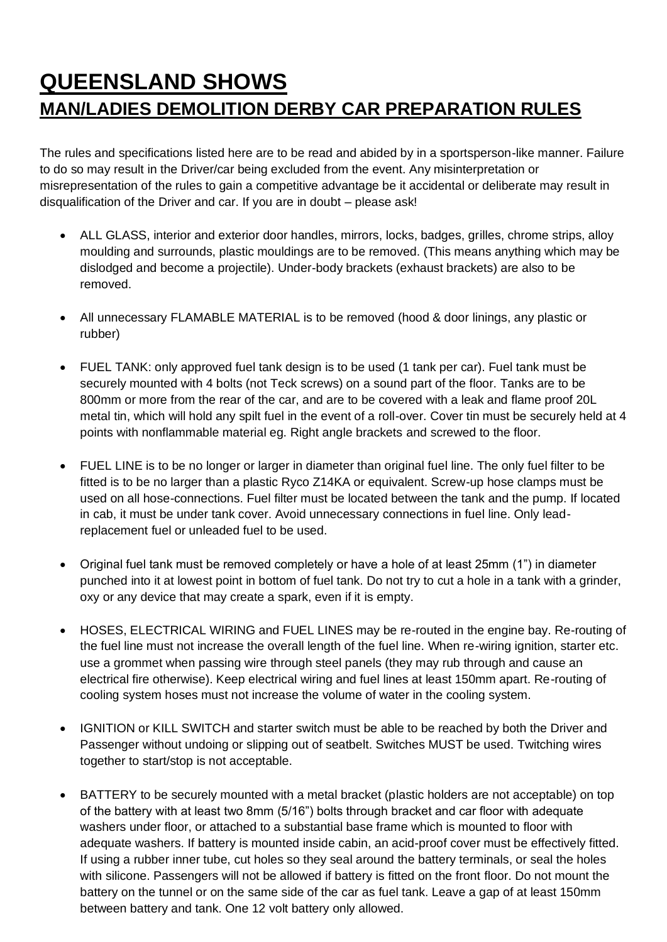## **QUEENSLAND SHOWS MAN/LADIES DEMOLITION DERBY CAR PREPARATION RULES**

The rules and specifications listed here are to be read and abided by in a sportsperson-like manner. Failure to do so may result in the Driver/car being excluded from the event. Any misinterpretation or misrepresentation of the rules to gain a competitive advantage be it accidental or deliberate may result in disqualification of the Driver and car. If you are in doubt – please ask!

- ALL GLASS, interior and exterior door handles, mirrors, locks, badges, grilles, chrome strips, alloy moulding and surrounds, plastic mouldings are to be removed. (This means anything which may be dislodged and become a projectile). Under-body brackets (exhaust brackets) are also to be removed.
- All unnecessary FLAMABLE MATERIAL is to be removed (hood & door linings, any plastic or rubber)
- FUEL TANK: only approved fuel tank design is to be used (1 tank per car). Fuel tank must be securely mounted with 4 bolts (not Teck screws) on a sound part of the floor. Tanks are to be 800mm or more from the rear of the car, and are to be covered with a leak and flame proof 20L metal tin, which will hold any spilt fuel in the event of a roll-over. Cover tin must be securely held at 4 points with nonflammable material eg. Right angle brackets and screwed to the floor.
- FUEL LINE is to be no longer or larger in diameter than original fuel line. The only fuel filter to be fitted is to be no larger than a plastic Ryco Z14KA or equivalent. Screw-up hose clamps must be used on all hose-connections. Fuel filter must be located between the tank and the pump. If located in cab, it must be under tank cover. Avoid unnecessary connections in fuel line. Only leadreplacement fuel or unleaded fuel to be used.
- Original fuel tank must be removed completely or have a hole of at least 25mm (1") in diameter punched into it at lowest point in bottom of fuel tank. Do not try to cut a hole in a tank with a grinder, oxy or any device that may create a spark, even if it is empty.
- HOSES, ELECTRICAL WIRING and FUEL LINES may be re-routed in the engine bay. Re-routing of the fuel line must not increase the overall length of the fuel line. When re-wiring ignition, starter etc. use a grommet when passing wire through steel panels (they may rub through and cause an electrical fire otherwise). Keep electrical wiring and fuel lines at least 150mm apart. Re-routing of cooling system hoses must not increase the volume of water in the cooling system.
- IGNITION or KILL SWITCH and starter switch must be able to be reached by both the Driver and Passenger without undoing or slipping out of seatbelt. Switches MUST be used. Twitching wires together to start/stop is not acceptable.
- BATTERY to be securely mounted with a metal bracket (plastic holders are not acceptable) on top of the battery with at least two 8mm (5/16") bolts through bracket and car floor with adequate washers under floor, or attached to a substantial base frame which is mounted to floor with adequate washers. If battery is mounted inside cabin, an acid-proof cover must be effectively fitted. If using a rubber inner tube, cut holes so they seal around the battery terminals, or seal the holes with silicone. Passengers will not be allowed if battery is fitted on the front floor. Do not mount the battery on the tunnel or on the same side of the car as fuel tank. Leave a gap of at least 150mm between battery and tank. One 12 volt battery only allowed.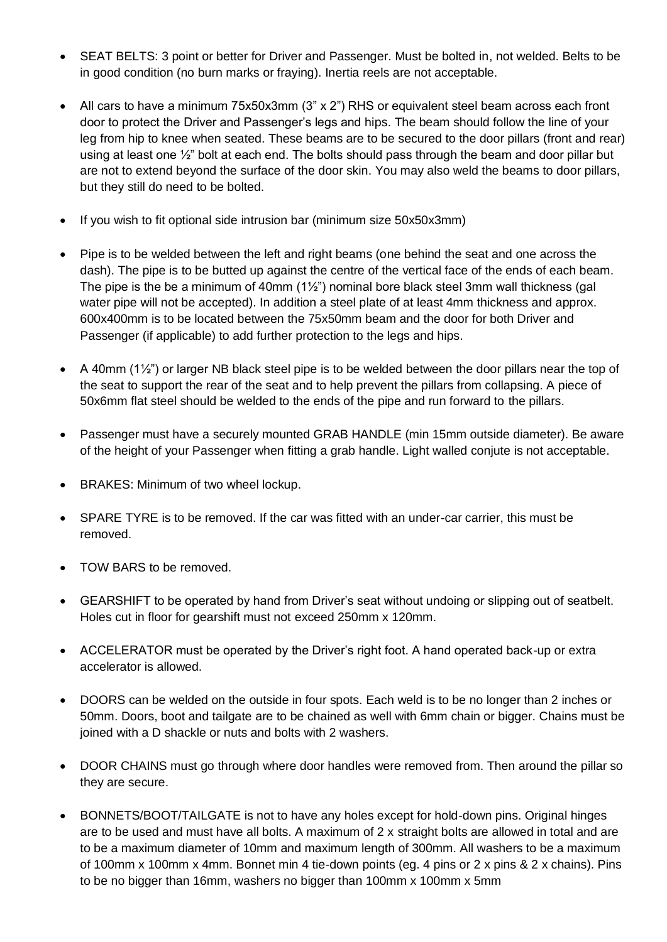- SEAT BELTS: 3 point or better for Driver and Passenger. Must be bolted in, not welded. Belts to be in good condition (no burn marks or fraying). Inertia reels are not acceptable.
- All cars to have a minimum 75x50x3mm (3" x 2") RHS or equivalent steel beam across each front door to protect the Driver and Passenger's legs and hips. The beam should follow the line of your leg from hip to knee when seated. These beams are to be secured to the door pillars (front and rear) using at least one ½" bolt at each end. The bolts should pass through the beam and door pillar but are not to extend beyond the surface of the door skin. You may also weld the beams to door pillars, but they still do need to be bolted.
- If you wish to fit optional side intrusion bar (minimum size 50x50x3mm)
- Pipe is to be welded between the left and right beams (one behind the seat and one across the dash). The pipe is to be butted up against the centre of the vertical face of the ends of each beam. The pipe is the be a minimum of 40mm  $(1\frac{1}{2})$  nominal bore black steel 3mm wall thickness (gal water pipe will not be accepted). In addition a steel plate of at least 4mm thickness and approx. 600x400mm is to be located between the 75x50mm beam and the door for both Driver and Passenger (if applicable) to add further protection to the legs and hips.
- A 40mm  $(1\frac{1}{2})$  or larger NB black steel pipe is to be welded between the door pillars near the top of the seat to support the rear of the seat and to help prevent the pillars from collapsing. A piece of 50x6mm flat steel should be welded to the ends of the pipe and run forward to the pillars.
- Passenger must have a securely mounted GRAB HANDLE (min 15mm outside diameter). Be aware of the height of your Passenger when fitting a grab handle. Light walled conjute is not acceptable.
- BRAKES: Minimum of two wheel lockup.
- SPARE TYRE is to be removed. If the car was fitted with an under-car carrier, this must be removed.
- TOW BARS to be removed.
- GEARSHIFT to be operated by hand from Driver's seat without undoing or slipping out of seatbelt. Holes cut in floor for gearshift must not exceed 250mm x 120mm.
- ACCELERATOR must be operated by the Driver's right foot. A hand operated back-up or extra accelerator is allowed.
- DOORS can be welded on the outside in four spots. Each weld is to be no longer than 2 inches or 50mm. Doors, boot and tailgate are to be chained as well with 6mm chain or bigger. Chains must be joined with a D shackle or nuts and bolts with 2 washers.
- DOOR CHAINS must go through where door handles were removed from. Then around the pillar so they are secure.
- BONNETS/BOOT/TAILGATE is not to have any holes except for hold-down pins. Original hinges are to be used and must have all bolts. A maximum of 2 x straight bolts are allowed in total and are to be a maximum diameter of 10mm and maximum length of 300mm. All washers to be a maximum of 100mm x 100mm x 4mm. Bonnet min 4 tie-down points (eg. 4 pins or 2 x pins & 2 x chains). Pins to be no bigger than 16mm, washers no bigger than 100mm x 100mm x 5mm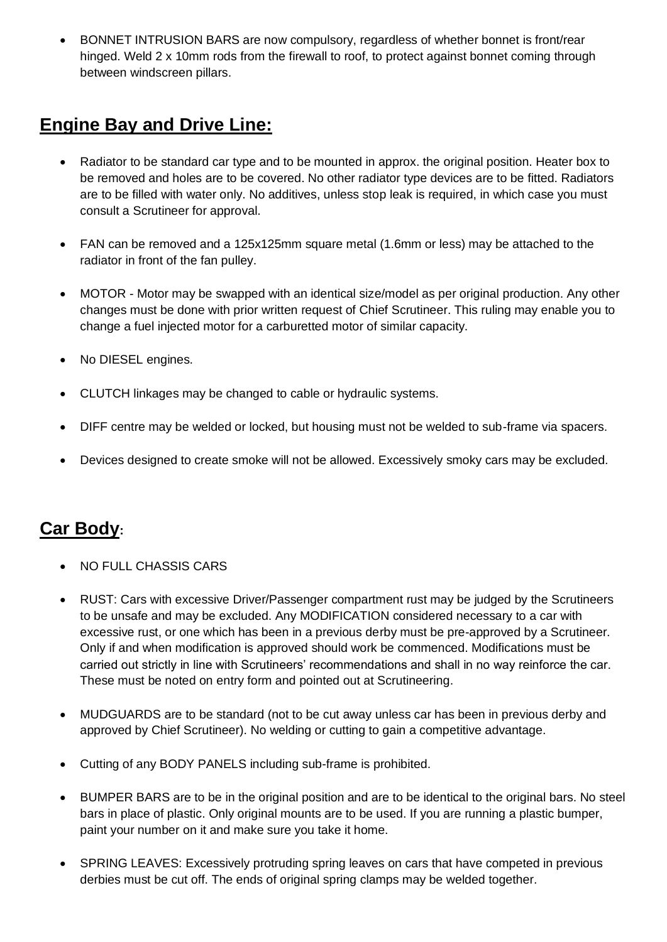• BONNET INTRUSION BARS are now compulsory, regardless of whether bonnet is front/rear hinged. Weld 2 x 10mm rods from the firewall to roof, to protect against bonnet coming through between windscreen pillars.

## **Engine Bay and Drive Line:**

- Radiator to be standard car type and to be mounted in approx. the original position. Heater box to be removed and holes are to be covered. No other radiator type devices are to be fitted. Radiators are to be filled with water only. No additives, unless stop leak is required, in which case you must consult a Scrutineer for approval.
- FAN can be removed and a 125x125mm square metal (1.6mm or less) may be attached to the radiator in front of the fan pulley.
- MOTOR Motor may be swapped with an identical size/model as per original production. Any other changes must be done with prior written request of Chief Scrutineer. This ruling may enable you to change a fuel injected motor for a carburetted motor of similar capacity.
- No DIESEL engines.
- CLUTCH linkages may be changed to cable or hydraulic systems.
- DIFF centre may be welded or locked, but housing must not be welded to sub-frame via spacers.
- Devices designed to create smoke will not be allowed. Excessively smoky cars may be excluded.

## **Car Body:**

- NO FULL CHASSIS CARS
- RUST: Cars with excessive Driver/Passenger compartment rust may be judged by the Scrutineers to be unsafe and may be excluded. Any MODIFICATION considered necessary to a car with excessive rust, or one which has been in a previous derby must be pre-approved by a Scrutineer. Only if and when modification is approved should work be commenced. Modifications must be carried out strictly in line with Scrutineers' recommendations and shall in no way reinforce the car. These must be noted on entry form and pointed out at Scrutineering.
- MUDGUARDS are to be standard (not to be cut away unless car has been in previous derby and approved by Chief Scrutineer). No welding or cutting to gain a competitive advantage.
- Cutting of any BODY PANELS including sub-frame is prohibited.
- BUMPER BARS are to be in the original position and are to be identical to the original bars. No steel bars in place of plastic. Only original mounts are to be used. If you are running a plastic bumper, paint your number on it and make sure you take it home.
- SPRING LEAVES: Excessively protruding spring leaves on cars that have competed in previous derbies must be cut off. The ends of original spring clamps may be welded together.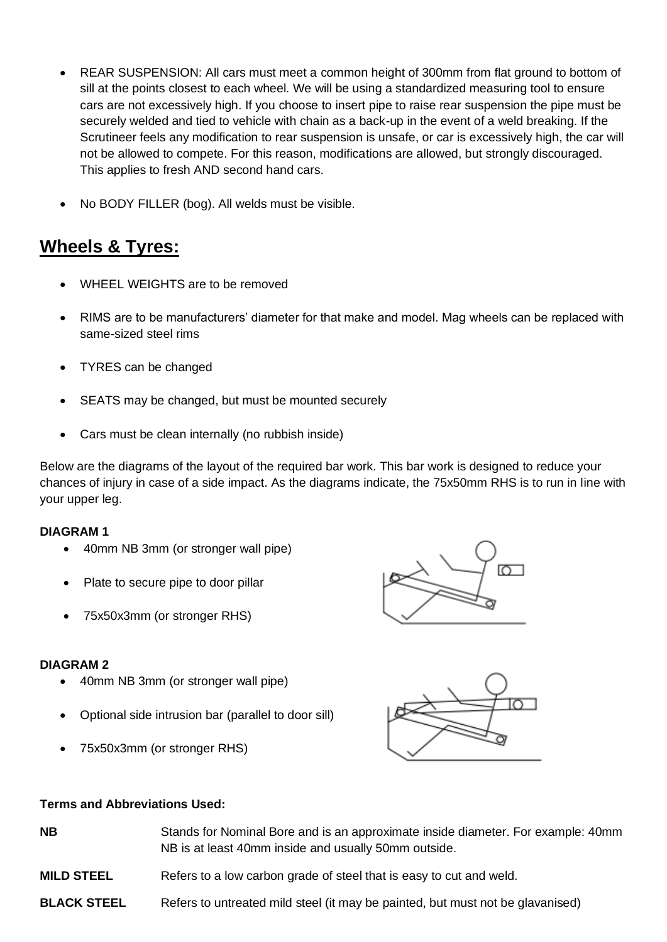- REAR SUSPENSION: All cars must meet a common height of 300mm from flat ground to bottom of sill at the points closest to each wheel. We will be using a standardized measuring tool to ensure cars are not excessively high. If you choose to insert pipe to raise rear suspension the pipe must be securely welded and tied to vehicle with chain as a back-up in the event of a weld breaking. If the Scrutineer feels any modification to rear suspension is unsafe, or car is excessively high, the car will not be allowed to compete. For this reason, modifications are allowed, but strongly discouraged. This applies to fresh AND second hand cars.
- No BODY FILLER (bog). All welds must be visible.

## **Wheels & Tyres:**

- WHEEL WEIGHTS are to be removed
- RIMS are to be manufacturers' diameter for that make and model. Mag wheels can be replaced with same-sized steel rims
- TYRES can be changed
- SEATS may be changed, but must be mounted securely
- Cars must be clean internally (no rubbish inside)

Below are the diagrams of the layout of the required bar work. This bar work is designed to reduce your chances of injury in case of a side impact. As the diagrams indicate, the 75x50mm RHS is to run in line with your upper leg.

### **DIAGRAM 1**

- 40mm NB 3mm (or stronger wall pipe)
- Plate to secure pipe to door pillar
- 75x50x3mm (or stronger RHS)

### **DIAGRAM 2**

- 40mm NB 3mm (or stronger wall pipe)
- Optional side intrusion bar (parallel to door sill)
- 75x50x3mm (or stronger RHS)

### **Terms and Abbreviations Used:**

- **NB** Stands for Nominal Bore and is an approximate inside diameter. For example: 40mm NB is at least 40mm inside and usually 50mm outside.
- **MILD STEEL** Refers to a low carbon grade of steel that is easy to cut and weld.
- **BLACK STEEL** Refers to untreated mild steel (it may be painted, but must not be glavanised)